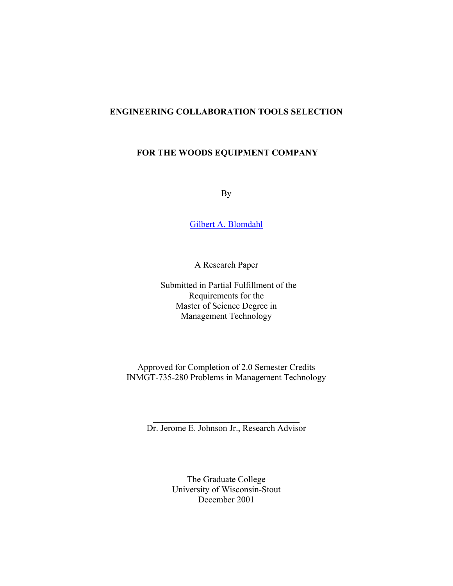## **ENGINEERING COLLABORATION TOOLS SELECTION**

## **FOR THE WOODS EQUIPMENT COMPANY**

By

[Gilbert A. Blomdahl](http://webpages.charter.net/gilblomdahl/Resume.html)

A Research Paper

 Submitted in Partial Fulfillment of the Requirements for the Master of Science Degree in Management Technology

Approved for Completion of 2.0 Semester Credits INMGT-735-280 Problems in Management Technology

 $\mathcal{L}_\text{max}$  , where  $\mathcal{L}_\text{max}$  and  $\mathcal{L}_\text{max}$  and  $\mathcal{L}_\text{max}$ Dr. Jerome E. Johnson Jr., Research Advisor

> The Graduate College University of Wisconsin-Stout December 2001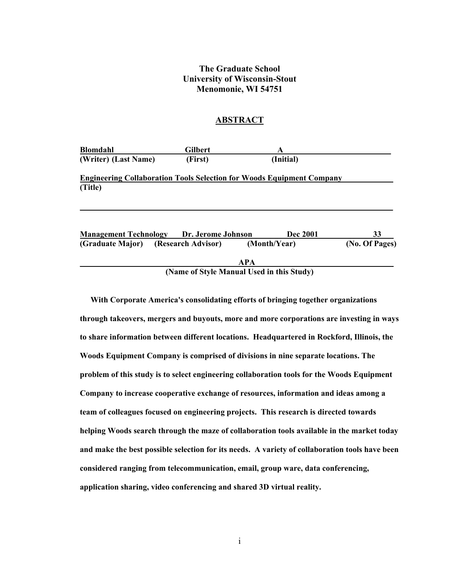## **The Graduate School University of Wisconsin-Stout Menomonie, WI 54751**

#### **ABSTRACT**

| <b>Blomdahl</b>      | <b>Gilbert</b>                                  | A                                                                            |                |
|----------------------|-------------------------------------------------|------------------------------------------------------------------------------|----------------|
| (Writer) (Last Name) | (First)                                         | (Initial)                                                                    |                |
|                      |                                                 | <b>Engineering Collaboration Tools Selection for Woods Equipment Company</b> |                |
| (Title)              |                                                 |                                                                              |                |
|                      |                                                 |                                                                              |                |
|                      |                                                 |                                                                              |                |
|                      | <b>Management Technology Dr. Jerome Johnson</b> | <b>Dec 2001</b>                                                              | 33             |
| (Graduate Major)     | (Research Advisor)                              | (Month/Year)                                                                 | (No. Of Pages) |
|                      |                                                 | <b>APA</b>                                                                   |                |
|                      |                                                 | (Name of Style Manual Used in this Study)                                    |                |

**With Corporate America's consolidating efforts of bringing together organizations through takeovers, mergers and buyouts, more and more corporations are investing in ways to share information between different locations. Headquartered in Rockford, Illinois, the Woods Equipment Company is comprised of divisions in nine separate locations. The problem of this study is to select engineering collaboration tools for the Woods Equipment Company to increase cooperative exchange of resources, information and ideas among a team of colleagues focused on engineering projects. This research is directed towards helping Woods search through the maze of collaboration tools available in the market today and make the best possible selection for its needs. A variety of collaboration tools have been considered ranging from telecommunication, email, group ware, data conferencing, application sharing, video conferencing and shared 3D virtual reality.**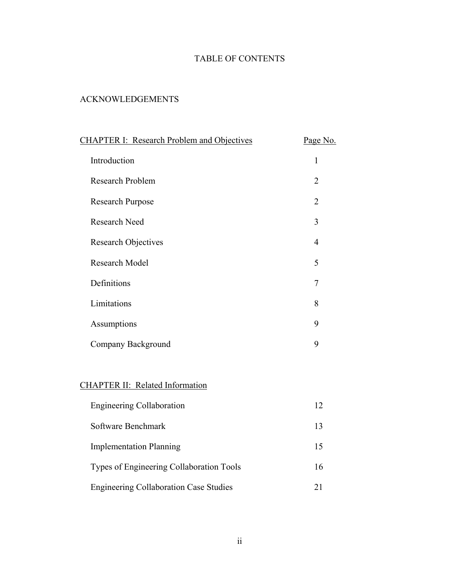# TABLE OF CONTENTS

## ACKNOWLEDGEMENTS

| <b>CHAPTER I: Research Problem and Objectives</b> |                |  |  |
|---------------------------------------------------|----------------|--|--|
| Introduction                                      | $\mathbf{1}$   |  |  |
| Research Problem                                  | $\overline{2}$ |  |  |
| <b>Research Purpose</b>                           | $\overline{2}$ |  |  |
| <b>Research Need</b>                              | 3              |  |  |
| <b>Research Objectives</b>                        | $\overline{4}$ |  |  |
| Research Model                                    | 5              |  |  |
| Definitions                                       | 7              |  |  |
| Limitations                                       | 8              |  |  |
| Assumptions                                       | 9              |  |  |
| Company Background                                | 9              |  |  |
|                                                   |                |  |  |
| <b>CHAPTER II: Related Information</b>            |                |  |  |
| <b>Engineering Collaboration</b>                  | 12             |  |  |
| Software Benchmark                                | 13             |  |  |
| <b>Implementation Planning</b>                    | 15             |  |  |
| Types of Engineering Collaboration Tools          | 16             |  |  |
| <b>Engineering Collaboration Case Studies</b>     | 21             |  |  |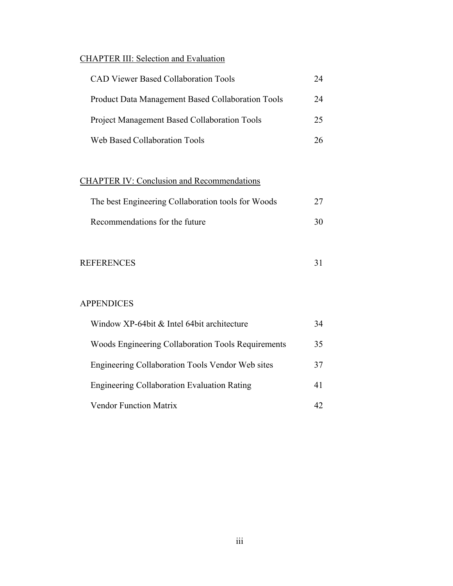## CHAPTER III: Selection and Evaluation

| <b>CAD Viewer Based Collaboration Tools</b>              |    |
|----------------------------------------------------------|----|
| <b>Product Data Management Based Collaboration Tools</b> | 24 |
| <b>Project Management Based Collaboration Tools</b>      | 25 |
| Web Based Collaboration Tools                            | 26 |

# CHAPTER IV: Conclusion and Recommendations

| The best Engineering Collaboration tools for Woods |    |  |  |  |
|----------------------------------------------------|----|--|--|--|
| Recommendations for the future                     | 30 |  |  |  |

| <b>REFERENCES</b> |  |
|-------------------|--|
|                   |  |

## APPENDICES

| Window XP-64bit & Intel 64bit architecture         |    |
|----------------------------------------------------|----|
| Woods Engineering Collaboration Tools Requirements | 35 |
| Engineering Collaboration Tools Vendor Web sites   | 37 |
| <b>Engineering Collaboration Evaluation Rating</b> | 41 |
| <b>Vendor Function Matrix</b>                      |    |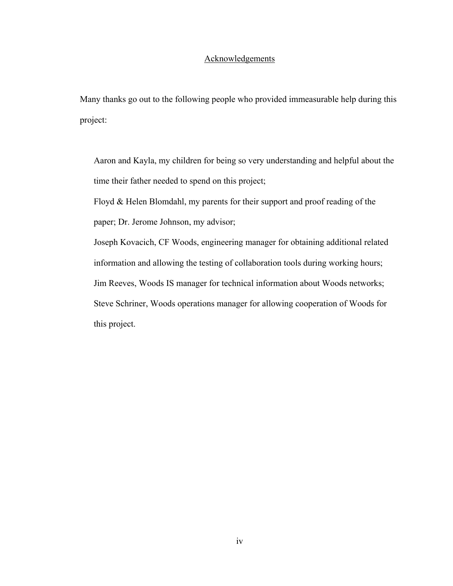## Acknowledgements

Many thanks go out to the following people who provided immeasurable help during this project:

Aaron and Kayla, my children for being so very understanding and helpful about the time their father needed to spend on this project;

Floyd & Helen Blomdahl, my parents for their support and proof reading of the paper; Dr. Jerome Johnson, my advisor;

Joseph Kovacich, CF Woods, engineering manager for obtaining additional related information and allowing the testing of collaboration tools during working hours; Jim Reeves, Woods IS manager for technical information about Woods networks; Steve Schriner, Woods operations manager for allowing cooperation of Woods for this project.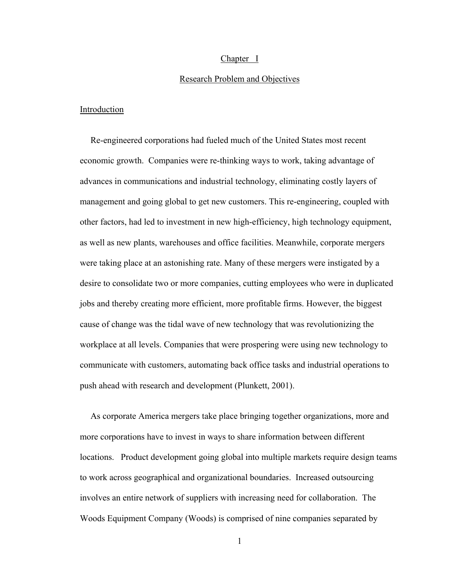#### Chapter I

#### Research Problem and Objectives

#### **Introduction**

Re-engineered corporations had fueled much of the United States most recent economic growth. Companies were re-thinking ways to work, taking advantage of advances in communications and industrial technology, eliminating costly layers of management and going global to get new customers. This re-engineering, coupled with other factors, had led to investment in new high-efficiency, high technology equipment, as well as new plants, warehouses and office facilities. Meanwhile, corporate mergers were taking place at an astonishing rate. Many of these mergers were instigated by a desire to consolidate two or more companies, cutting employees who were in duplicated jobs and thereby creating more efficient, more profitable firms. However, the biggest cause of change was the tidal wave of new technology that was revolutionizing the workplace at all levels. Companies that were prospering were using new technology to communicate with customers, automating back office tasks and industrial operations to push ahead with research and development (Plunkett, 2001).

As corporate America mergers take place bringing together organizations, more and more corporations have to invest in ways to share information between different locations. Product development going global into multiple markets require design teams to work across geographical and organizational boundaries. Increased outsourcing involves an entire network of suppliers with increasing need for collaboration. The Woods Equipment Company (Woods) is comprised of nine companies separated by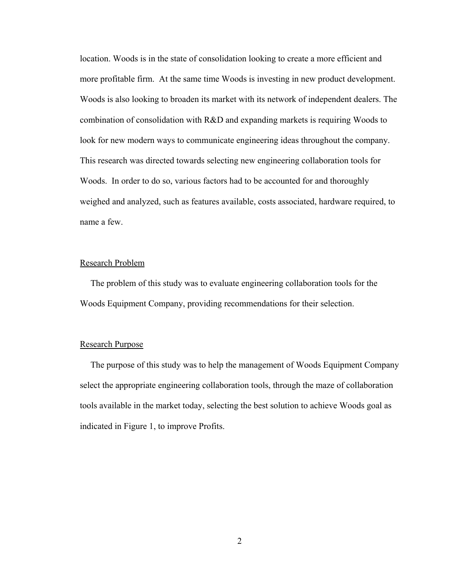location. Woods is in the state of consolidation looking to create a more efficient and more profitable firm. At the same time Woods is investing in new product development. Woods is also looking to broaden its market with its network of independent dealers. The combination of consolidation with R&D and expanding markets is requiring Woods to look for new modern ways to communicate engineering ideas throughout the company. This research was directed towards selecting new engineering collaboration tools for Woods. In order to do so, various factors had to be accounted for and thoroughly weighed and analyzed, such as features available, costs associated, hardware required, to name a few.

#### Research Problem

The problem of this study was to evaluate engineering collaboration tools for the Woods Equipment Company, providing recommendations for their selection.

#### Research Purpose

The purpose of this study was to help the management of Woods Equipment Company select the appropriate engineering collaboration tools, through the maze of collaboration tools available in the market today, selecting the best solution to achieve Woods goal as indicated in Figure 1, to improve Profits.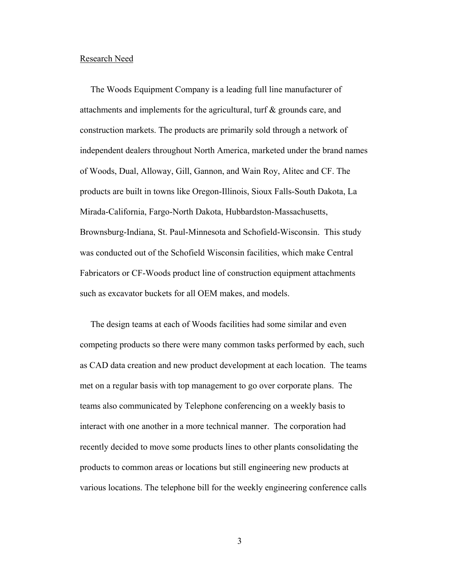#### Research Need

The Woods Equipment Company is a leading full line manufacturer of attachments and implements for the agricultural, turf & grounds care, and construction markets. The products are primarily sold through a network of independent dealers throughout North America, marketed under the brand names of Woods, Dual, Alloway, Gill, Gannon, and Wain Roy, Alitec and CF. The products are built in towns like Oregon-Illinois, Sioux Falls-South Dakota, La Mirada-California, Fargo-North Dakota, Hubbardston-Massachusetts, Brownsburg-Indiana, St. Paul-Minnesota and Schofield-Wisconsin. This study was conducted out of the Schofield Wisconsin facilities, which make Central Fabricators or CF-Woods product line of construction equipment attachments such as excavator buckets for all OEM makes, and models.

The design teams at each of Woods facilities had some similar and even competing products so there were many common tasks performed by each, such as CAD data creation and new product development at each location. The teams met on a regular basis with top management to go over corporate plans. The teams also communicated by Telephone conferencing on a weekly basis to interact with one another in a more technical manner. The corporation had recently decided to move some products lines to other plants consolidating the products to common areas or locations but still engineering new products at various locations. The telephone bill for the weekly engineering conference calls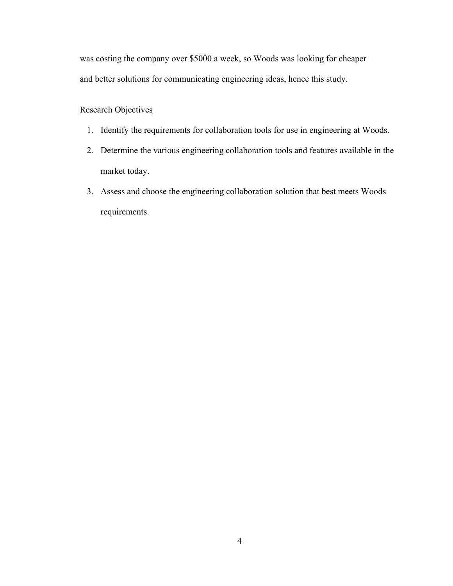was costing the company over \$5000 a week, so Woods was looking for cheaper and better solutions for communicating engineering ideas, hence this study.

## Research Objectives

- 1. Identify the requirements for collaboration tools for use in engineering at Woods.
- 2. Determine the various engineering collaboration tools and features available in the market today.
- 3. Assess and choose the engineering collaboration solution that best meets Woods requirements.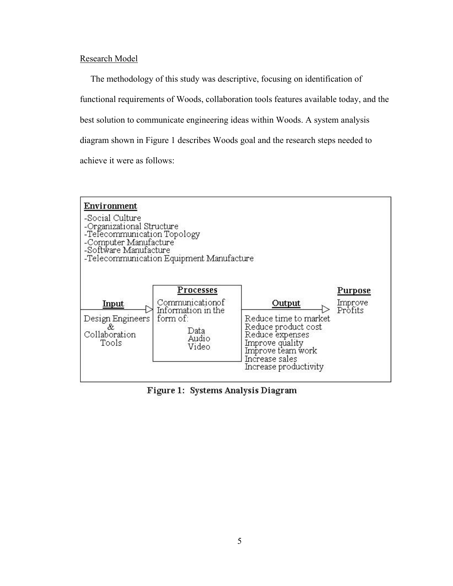### Research Model

The methodology of this study was descriptive, focusing on identification of functional requirements of Woods, collaboration tools features available today, and the best solution to communicate engineering ideas within Woods. A system analysis diagram shown in Figure 1 describes Woods goal and the research steps needed to achieve it were as follows:



Figure 1: Systems Analysis Diagram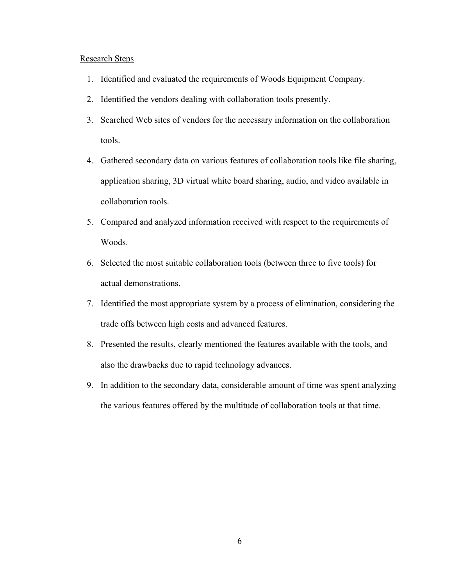#### Research Steps

- 1. Identified and evaluated the requirements of Woods Equipment Company.
- 2. Identified the vendors dealing with collaboration tools presently.
- 3. Searched Web sites of vendors for the necessary information on the collaboration tools.
- 4. Gathered secondary data on various features of collaboration tools like file sharing, application sharing, 3D virtual white board sharing, audio, and video available in collaboration tools.
- 5. Compared and analyzed information received with respect to the requirements of Woods.
- 6. Selected the most suitable collaboration tools (between three to five tools) for actual demonstrations.
- 7. Identified the most appropriate system by a process of elimination, considering the trade offs between high costs and advanced features.
- 8. Presented the results, clearly mentioned the features available with the tools, and also the drawbacks due to rapid technology advances.
- 9. In addition to the secondary data, considerable amount of time was spent analyzing the various features offered by the multitude of collaboration tools at that time.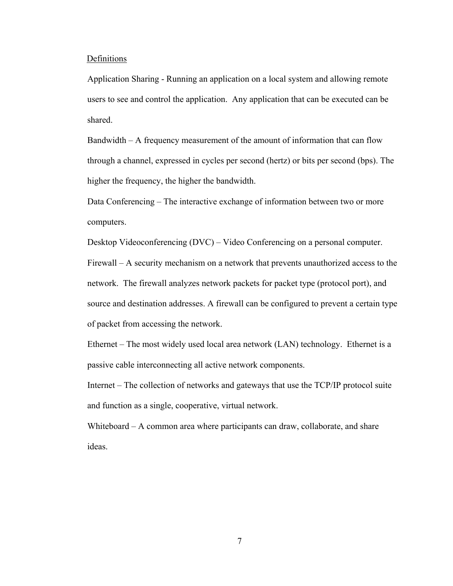#### Definitions

Application Sharing - Running an application on a local system and allowing remote users to see and control the application. Any application that can be executed can be shared.

Bandwidth – A frequency measurement of the amount of information that can flow through a channel, expressed in cycles per second (hertz) or bits per second (bps). The higher the frequency, the higher the bandwidth.

Data Conferencing – The interactive exchange of information between two or more computers.

Desktop Videoconferencing (DVC) – Video Conferencing on a personal computer.

Firewall – A security mechanism on a network that prevents unauthorized access to the network. The firewall analyzes network packets for packet type (protocol port), and source and destination addresses. A firewall can be configured to prevent a certain type of packet from accessing the network.

Ethernet – The most widely used local area network (LAN) technology. Ethernet is a passive cable interconnecting all active network components.

Internet – The collection of networks and gateways that use the TCP/IP protocol suite and function as a single, cooperative, virtual network.

Whiteboard – A common area where participants can draw, collaborate, and share ideas.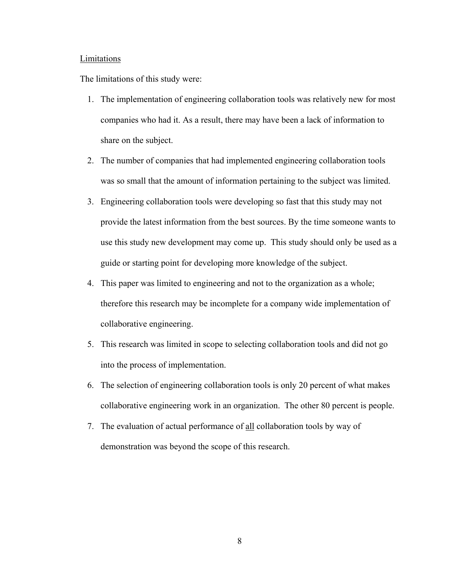#### **Limitations**

The limitations of this study were:

- 1. The implementation of engineering collaboration tools was relatively new for most companies who had it. As a result, there may have been a lack of information to share on the subject.
- 2. The number of companies that had implemented engineering collaboration tools was so small that the amount of information pertaining to the subject was limited.
- 3. Engineering collaboration tools were developing so fast that this study may not provide the latest information from the best sources. By the time someone wants to use this study new development may come up. This study should only be used as a guide or starting point for developing more knowledge of the subject.
- 4. This paper was limited to engineering and not to the organization as a whole; therefore this research may be incomplete for a company wide implementation of collaborative engineering.
- 5. This research was limited in scope to selecting collaboration tools and did not go into the process of implementation.
- 6. The selection of engineering collaboration tools is only 20 percent of what makes collaborative engineering work in an organization. The other 80 percent is people.
- 7. The evaluation of actual performance of all collaboration tools by way of demonstration was beyond the scope of this research.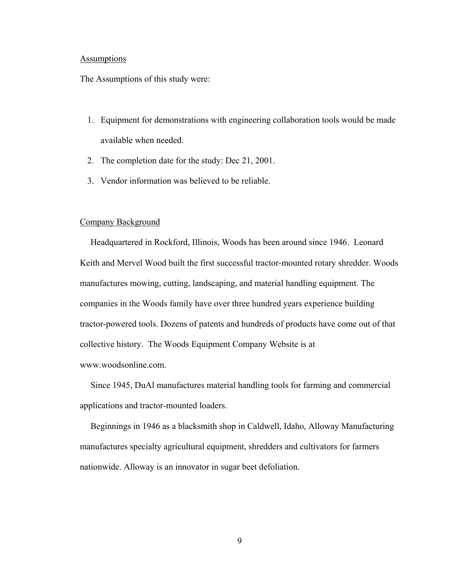#### **Assumptions**

The Assumptions of this study were:

- 1. Equipment for demonstrations with engineering collaboration tools would be made available when needed.
- 2. The completion date for the study: Dec 21, 2001.
- 3. Vendor information was believed to be reliable.

#### Company Background

Headquartered in Rockford, Illinois, Woods has been around since 1946. Leonard Keith and Mervel Wood built the first successful tractor-mounted rotary shredder. Woods manufactures mowing, cutting, landscaping, and material handling equipment. The companies in the Woods family have over three hundred years experience building tractor-powered tools. Dozens of patents and hundreds of products have come out of that collective history. The Woods Equipment Company Website is at www.woodsonline.com.

Since 1945, DuAl manufactures material handling tools for farming and commercial applications and tractor-mounted loaders.

Beginnings in 1946 as a blacksmith shop in Caldwell, Idaho, Alloway Manufacturing manufactures specialty agricultural equipment, shredders and cultivators for farmers nationwide. Alloway is an innovator in sugar beet defoliation.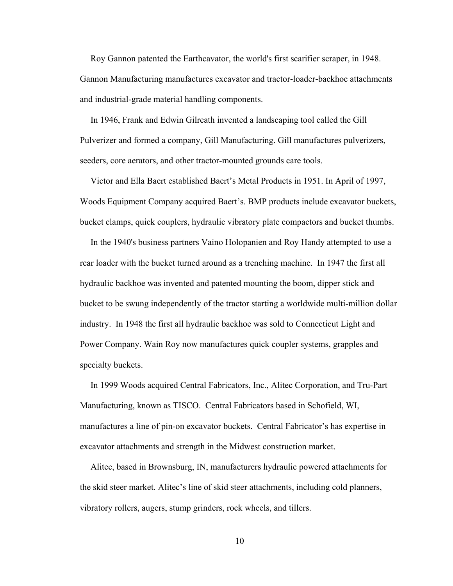Roy Gannon patented the Earthcavator, the world's first scarifier scraper, in 1948. Gannon Manufacturing manufactures excavator and tractor-loader-backhoe attachments and industrial-grade material handling components.

In 1946, Frank and Edwin Gilreath invented a landscaping tool called the Gill Pulverizer and formed a company, Gill Manufacturing. Gill manufactures pulverizers, seeders, core aerators, and other tractor-mounted grounds care tools.

Victor and Ella Baert established Baert's Metal Products in 1951. In April of 1997, Woods Equipment Company acquired Baert's. BMP products include excavator buckets, bucket clamps, quick couplers, hydraulic vibratory plate compactors and bucket thumbs.

In the 1940's business partners Vaino Holopanien and Roy Handy attempted to use a rear loader with the bucket turned around as a trenching machine. In 1947 the first all hydraulic backhoe was invented and patented mounting the boom, dipper stick and bucket to be swung independently of the tractor starting a worldwide multi-million dollar industry. In 1948 the first all hydraulic backhoe was sold to Connecticut Light and Power Company. Wain Roy now manufactures quick coupler systems, grapples and specialty buckets.

In 1999 Woods acquired Central Fabricators, Inc., Alitec Corporation, and Tru-Part Manufacturing, known as TISCO. Central Fabricators based in Schofield, WI, manufactures a line of pin-on excavator buckets. Central Fabricator's has expertise in excavator attachments and strength in the Midwest construction market.

Alitec, based in Brownsburg, IN, manufacturers hydraulic powered attachments for the skid steer market. Alitec's line of skid steer attachments, including cold planners, vibratory rollers, augers, stump grinders, rock wheels, and tillers.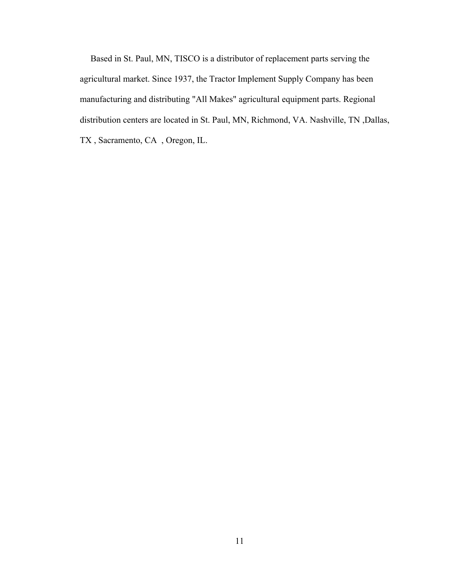Based in St. Paul, MN, TISCO is a distributor of replacement parts serving the agricultural market. Since 1937, the Tractor Implement Supply Company has been manufacturing and distributing "All Makes" agricultural equipment parts. Regional distribution centers are located in St. Paul, MN, Richmond, VA. Nashville, TN ,Dallas, TX , Sacramento, CA , Oregon, IL.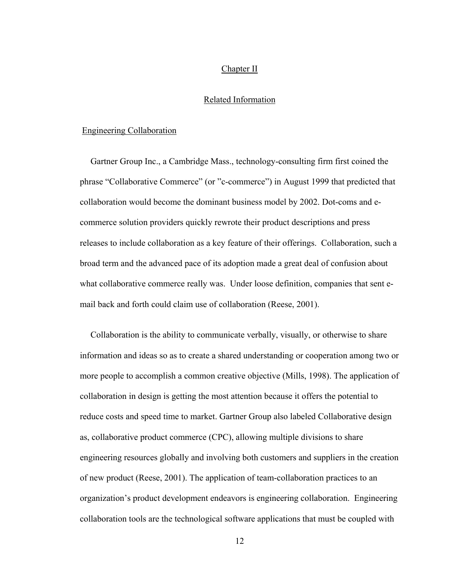#### Chapter II

#### Related Information

## Engineering Collaboration

Gartner Group Inc., a Cambridge Mass., technology-consulting firm first coined the phrase "Collaborative Commerce" (or "c-commerce") in August 1999 that predicted that collaboration would become the dominant business model by 2002. Dot-coms and ecommerce solution providers quickly rewrote their product descriptions and press releases to include collaboration as a key feature of their offerings. Collaboration, such a broad term and the advanced pace of its adoption made a great deal of confusion about what collaborative commerce really was. Under loose definition, companies that sent email back and forth could claim use of collaboration (Reese, 2001).

Collaboration is the ability to communicate verbally, visually, or otherwise to share information and ideas so as to create a shared understanding or cooperation among two or more people to accomplish a common creative objective (Mills, 1998). The application of collaboration in design is getting the most attention because it offers the potential to reduce costs and speed time to market. Gartner Group also labeled Collaborative design as, collaborative product commerce (CPC), allowing multiple divisions to share engineering resources globally and involving both customers and suppliers in the creation of new product (Reese, 2001). The application of team-collaboration practices to an organization's product development endeavors is engineering collaboration. Engineering collaboration tools are the technological software applications that must be coupled with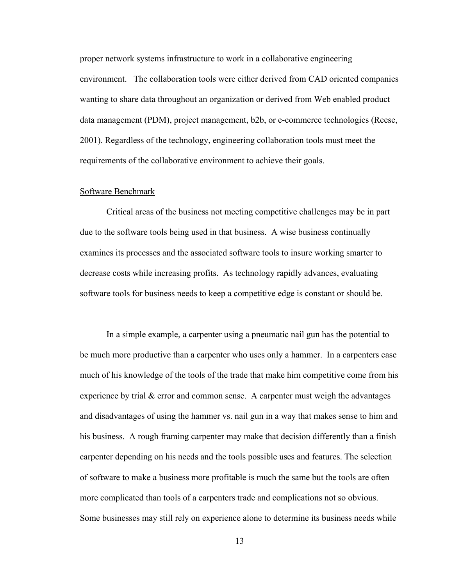proper network systems infrastructure to work in a collaborative engineering environment. The collaboration tools were either derived from CAD oriented companies wanting to share data throughout an organization or derived from Web enabled product data management (PDM), project management, b2b, or e-commerce technologies (Reese, 2001). Regardless of the technology, engineering collaboration tools must meet the requirements of the collaborative environment to achieve their goals.

#### Software Benchmark

Critical areas of the business not meeting competitive challenges may be in part due to the software tools being used in that business. A wise business continually examines its processes and the associated software tools to insure working smarter to decrease costs while increasing profits. As technology rapidly advances, evaluating software tools for business needs to keep a competitive edge is constant or should be.

In a simple example, a carpenter using a pneumatic nail gun has the potential to be much more productive than a carpenter who uses only a hammer. In a carpenters case much of his knowledge of the tools of the trade that make him competitive come from his experience by trial  $&$  error and common sense. A carpenter must weigh the advantages and disadvantages of using the hammer vs. nail gun in a way that makes sense to him and his business. A rough framing carpenter may make that decision differently than a finish carpenter depending on his needs and the tools possible uses and features. The selection of software to make a business more profitable is much the same but the tools are often more complicated than tools of a carpenters trade and complications not so obvious. Some businesses may still rely on experience alone to determine its business needs while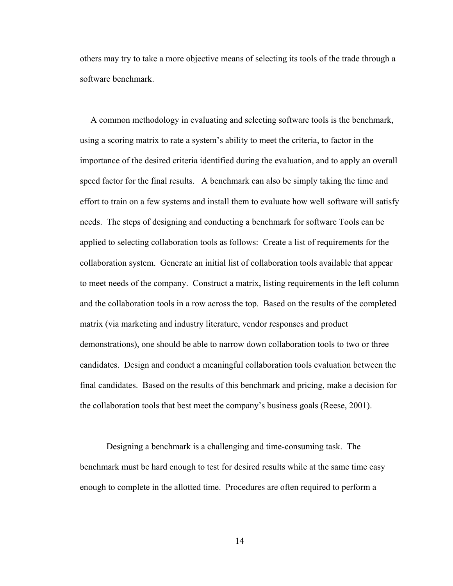others may try to take a more objective means of selecting its tools of the trade through a software benchmark.

A common methodology in evaluating and selecting software tools is the benchmark, using a scoring matrix to rate a system's ability to meet the criteria, to factor in the importance of the desired criteria identified during the evaluation, and to apply an overall speed factor for the final results. A benchmark can also be simply taking the time and effort to train on a few systems and install them to evaluate how well software will satisfy needs. The steps of designing and conducting a benchmark for software Tools can be applied to selecting collaboration tools as follows: Create a list of requirements for the collaboration system. Generate an initial list of collaboration tools available that appear to meet needs of the company. Construct a matrix, listing requirements in the left column and the collaboration tools in a row across the top. Based on the results of the completed matrix (via marketing and industry literature, vendor responses and product demonstrations), one should be able to narrow down collaboration tools to two or three candidates. Design and conduct a meaningful collaboration tools evaluation between the final candidates. Based on the results of this benchmark and pricing, make a decision for the collaboration tools that best meet the company's business goals (Reese, 2001).

Designing a benchmark is a challenging and time-consuming task. The benchmark must be hard enough to test for desired results while at the same time easy enough to complete in the allotted time. Procedures are often required to perform a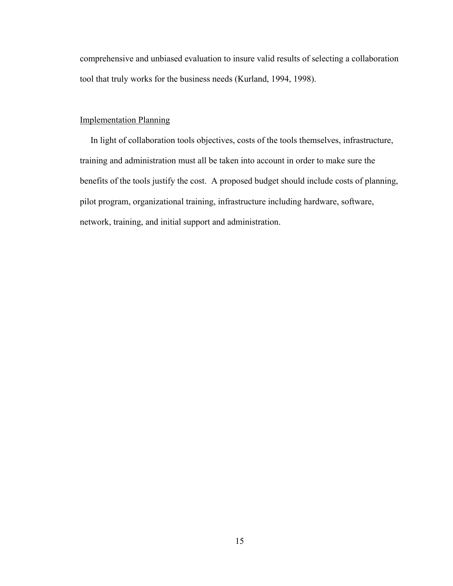comprehensive and unbiased evaluation to insure valid results of selecting a collaboration tool that truly works for the business needs (Kurland, 1994, 1998).

## Implementation Planning

In light of collaboration tools objectives, costs of the tools themselves, infrastructure, training and administration must all be taken into account in order to make sure the benefits of the tools justify the cost. A proposed budget should include costs of planning, pilot program, organizational training, infrastructure including hardware, software, network, training, and initial support and administration.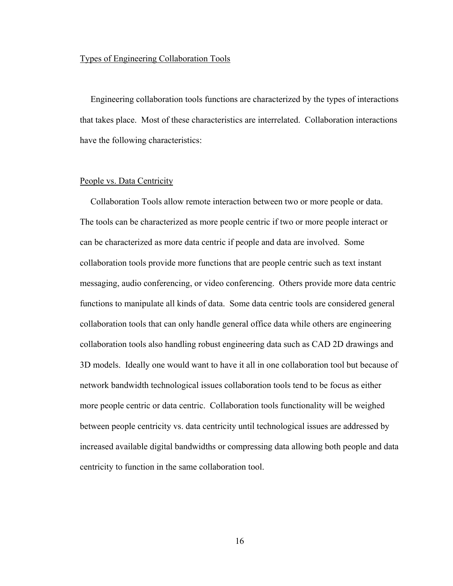#### Types of Engineering Collaboration Tools

Engineering collaboration tools functions are characterized by the types of interactions that takes place. Most of these characteristics are interrelated. Collaboration interactions have the following characteristics:

#### People vs. Data Centricity

Collaboration Tools allow remote interaction between two or more people or data. The tools can be characterized as more people centric if two or more people interact or can be characterized as more data centric if people and data are involved. Some collaboration tools provide more functions that are people centric such as text instant messaging, audio conferencing, or video conferencing. Others provide more data centric functions to manipulate all kinds of data. Some data centric tools are considered general collaboration tools that can only handle general office data while others are engineering collaboration tools also handling robust engineering data such as CAD 2D drawings and 3D models. Ideally one would want to have it all in one collaboration tool but because of network bandwidth technological issues collaboration tools tend to be focus as either more people centric or data centric. Collaboration tools functionality will be weighed between people centricity vs. data centricity until technological issues are addressed by increased available digital bandwidths or compressing data allowing both people and data centricity to function in the same collaboration tool.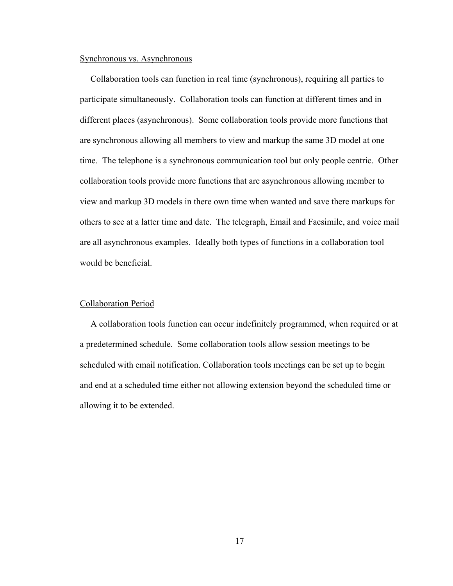#### Synchronous vs. Asynchronous

Collaboration tools can function in real time (synchronous), requiring all parties to participate simultaneously. Collaboration tools can function at different times and in different places (asynchronous). Some collaboration tools provide more functions that are synchronous allowing all members to view and markup the same 3D model at one time. The telephone is a synchronous communication tool but only people centric. Other collaboration tools provide more functions that are asynchronous allowing member to view and markup 3D models in there own time when wanted and save there markups for others to see at a latter time and date. The telegraph, Email and Facsimile, and voice mail are all asynchronous examples. Ideally both types of functions in a collaboration tool would be beneficial.

### Collaboration Period

A collaboration tools function can occur indefinitely programmed, when required or at a predetermined schedule. Some collaboration tools allow session meetings to be scheduled with email notification. Collaboration tools meetings can be set up to begin and end at a scheduled time either not allowing extension beyond the scheduled time or allowing it to be extended.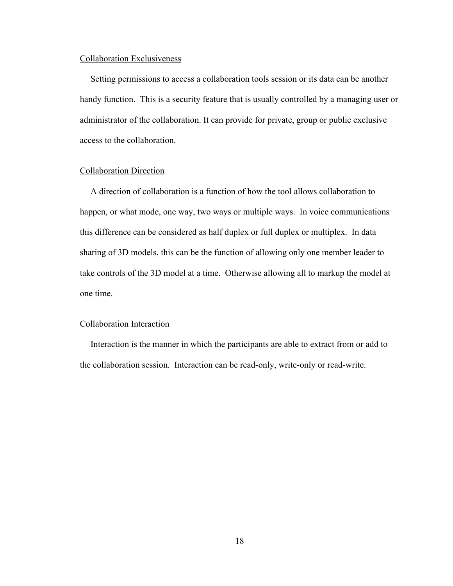#### Collaboration Exclusiveness

Setting permissions to access a collaboration tools session or its data can be another handy function. This is a security feature that is usually controlled by a managing user or administrator of the collaboration. It can provide for private, group or public exclusive access to the collaboration.

#### Collaboration Direction

A direction of collaboration is a function of how the tool allows collaboration to happen, or what mode, one way, two ways or multiple ways. In voice communications this difference can be considered as half duplex or full duplex or multiplex. In data sharing of 3D models, this can be the function of allowing only one member leader to take controls of the 3D model at a time. Otherwise allowing all to markup the model at one time.

#### Collaboration Interaction

Interaction is the manner in which the participants are able to extract from or add to the collaboration session. Interaction can be read-only, write-only or read-write.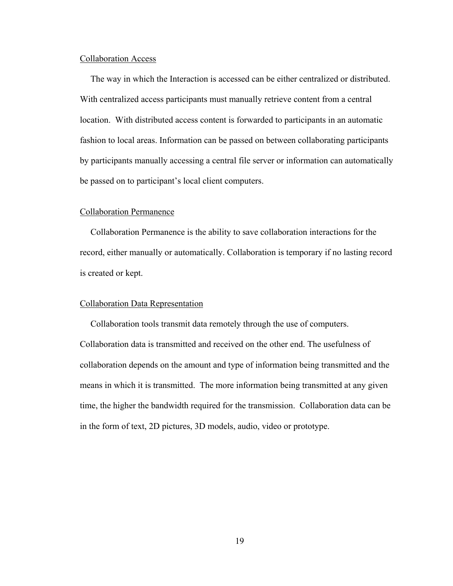#### Collaboration Access

The way in which the Interaction is accessed can be either centralized or distributed. With centralized access participants must manually retrieve content from a central location. With distributed access content is forwarded to participants in an automatic fashion to local areas. Information can be passed on between collaborating participants by participants manually accessing a central file server or information can automatically be passed on to participant's local client computers.

#### Collaboration Permanence

Collaboration Permanence is the ability to save collaboration interactions for the record, either manually or automatically. Collaboration is temporary if no lasting record is created or kept.

#### Collaboration Data Representation

Collaboration tools transmit data remotely through the use of computers. Collaboration data is transmitted and received on the other end. The usefulness of collaboration depends on the amount and type of information being transmitted and the means in which it is transmitted. The more information being transmitted at any given time, the higher the bandwidth required for the transmission. Collaboration data can be in the form of text, 2D pictures, 3D models, audio, video or prototype.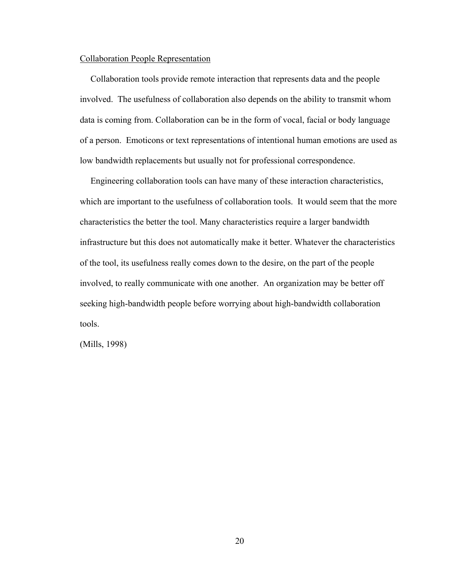#### Collaboration People Representation

Collaboration tools provide remote interaction that represents data and the people involved. The usefulness of collaboration also depends on the ability to transmit whom data is coming from. Collaboration can be in the form of vocal, facial or body language of a person. Emoticons or text representations of intentional human emotions are used as low bandwidth replacements but usually not for professional correspondence.

Engineering collaboration tools can have many of these interaction characteristics, which are important to the usefulness of collaboration tools. It would seem that the more characteristics the better the tool. Many characteristics require a larger bandwidth infrastructure but this does not automatically make it better. Whatever the characteristics of the tool, its usefulness really comes down to the desire, on the part of the people involved, to really communicate with one another. An organization may be better off seeking high-bandwidth people before worrying about high-bandwidth collaboration tools.

(Mills, 1998)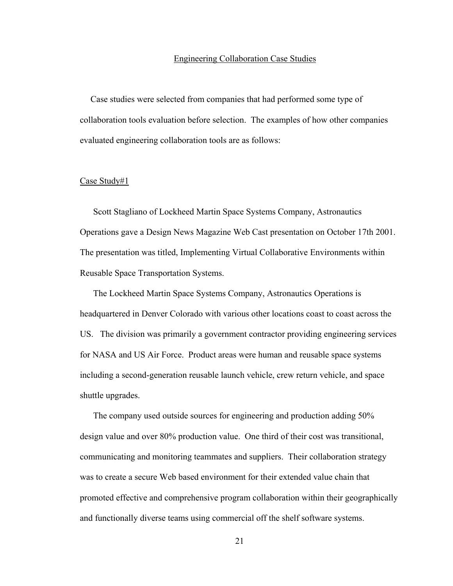#### Engineering Collaboration Case Studies

Case studies were selected from companies that had performed some type of collaboration tools evaluation before selection. The examples of how other companies evaluated engineering collaboration tools are as follows:

#### Case Study#1

Scott Stagliano of Lockheed Martin Space Systems Company, Astronautics Operations gave a Design News Magazine Web Cast presentation on October 17th 2001. The presentation was titled, Implementing Virtual Collaborative Environments within Reusable Space Transportation Systems.

The Lockheed Martin Space Systems Company, Astronautics Operations is headquartered in Denver Colorado with various other locations coast to coast across the US. The division was primarily a government contractor providing engineering services for NASA and US Air Force. Product areas were human and reusable space systems including a second-generation reusable launch vehicle, crew return vehicle, and space shuttle upgrades.

The company used outside sources for engineering and production adding 50% design value and over 80% production value. One third of their cost was transitional, communicating and monitoring teammates and suppliers. Their collaboration strategy was to create a secure Web based environment for their extended value chain that promoted effective and comprehensive program collaboration within their geographically and functionally diverse teams using commercial off the shelf software systems.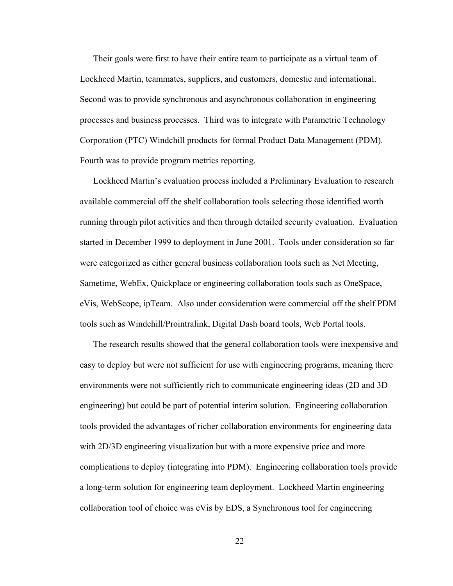Their goals were first to have their entire team to participate as a virtual team of Lockheed Martin, teammates, suppliers, and customers, domestic and international. Second was to provide synchronous and asynchronous collaboration in engineering processes and business processes. Third was to integrate with Parametric Technology Corporation (PTC) Windchill products for formal Product Data Management (PDM). Fourth was to provide program metrics reporting.

Lockheed Martin's evaluation process included a Preliminary Evaluation to research available commercial off the shelf collaboration tools selecting those identified worth running through pilot activities and then through detailed security evaluation. Evaluation started in December 1999 to deployment in June 2001. Tools under consideration so far were categorized as either general business collaboration tools such as Net Meeting, Sametime, WebEx, Quickplace or engineering collaboration tools such as OneSpace, eVis, WebScope, ipTeam. Also under consideration were commercial off the shelf PDM tools such as Windchill/Prointralink, Digital Dash board tools, Web Portal tools.

The research results showed that the general collaboration tools were inexpensive and easy to deploy but were not sufficient for use with engineering programs, meaning there environments were not sufficiently rich to communicate engineering ideas (2D and 3D engineering) but could be part of potential interim solution. Engineering collaboration tools provided the advantages of richer collaboration environments for engineering data with 2D/3D engineering visualization but with a more expensive price and more complications to deploy (integrating into PDM). Engineering collaboration tools provide a long-term solution for engineering team deployment. Lockheed Martin engineering collaboration tool of choice was eVis by EDS, a Synchronous tool for engineering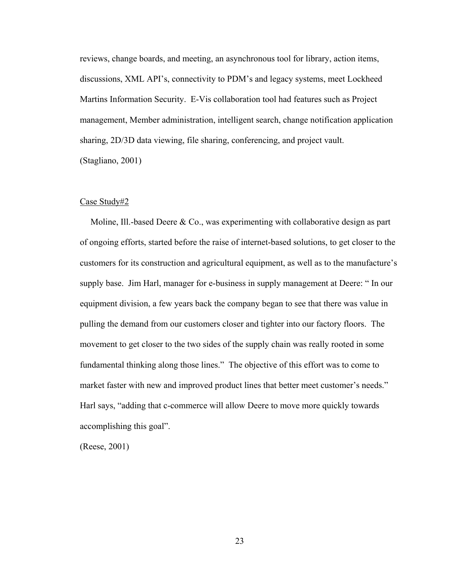reviews, change boards, and meeting, an asynchronous tool for library, action items, discussions, XML API's, connectivity to PDM's and legacy systems, meet Lockheed Martins Information Security. E-Vis collaboration tool had features such as Project management, Member administration, intelligent search, change notification application sharing, 2D/3D data viewing, file sharing, conferencing, and project vault. (Stagliano, 2001)

#### Case Study#2

Moline, Ill.-based Deere & Co., was experimenting with collaborative design as part of ongoing efforts, started before the raise of internet-based solutions, to get closer to the customers for its construction and agricultural equipment, as well as to the manufacture's supply base. Jim Harl, manager for e-business in supply management at Deere: " In our equipment division, a few years back the company began to see that there was value in pulling the demand from our customers closer and tighter into our factory floors. The movement to get closer to the two sides of the supply chain was really rooted in some fundamental thinking along those lines." The objective of this effort was to come to market faster with new and improved product lines that better meet customer's needs." Harl says, "adding that c-commerce will allow Deere to move more quickly towards accomplishing this goal".

(Reese, 2001)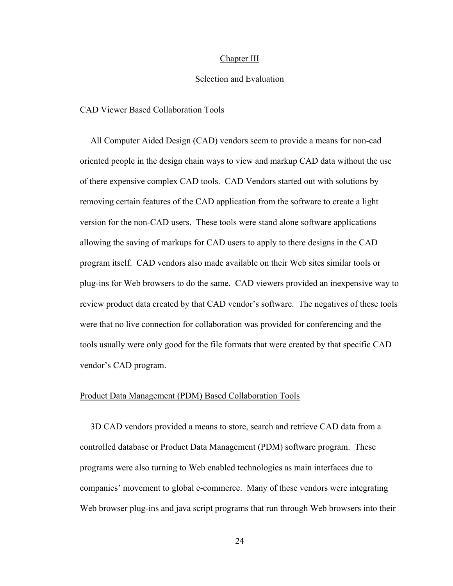#### Chapter III

#### Selection and Evaluation

#### CAD Viewer Based Collaboration Tools

All Computer Aided Design (CAD) vendors seem to provide a means for non-cad oriented people in the design chain ways to view and markup CAD data without the use of there expensive complex CAD tools. CAD Vendors started out with solutions by removing certain features of the CAD application from the software to create a light version for the non-CAD users. These tools were stand alone software applications allowing the saving of markups for CAD users to apply to there designs in the CAD program itself. CAD vendors also made available on their Web sites similar tools or plug-ins for Web browsers to do the same. CAD viewers provided an inexpensive way to review product data created by that CAD vendor's software. The negatives of these tools were that no live connection for collaboration was provided for conferencing and the tools usually were only good for the file formats that were created by that specific CAD vendor's CAD program.

#### Product Data Management (PDM) Based Collaboration Tools

3D CAD vendors provided a means to store, search and retrieve CAD data from a controlled database or Product Data Management (PDM) software program. These programs were also turning to Web enabled technologies as main interfaces due to companies' movement to global e-commerce. Many of these vendors were integrating Web browser plug-ins and java script programs that run through Web browsers into their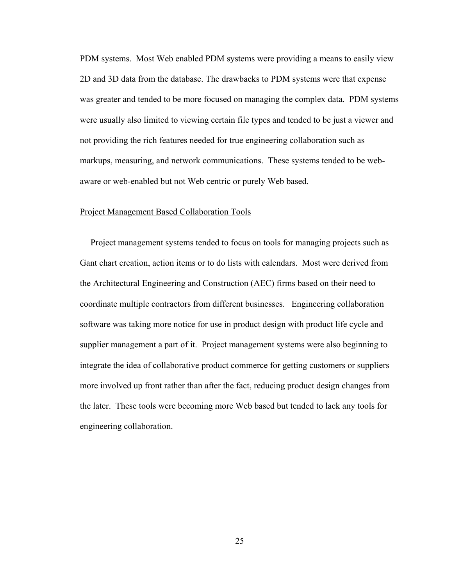PDM systems. Most Web enabled PDM systems were providing a means to easily view 2D and 3D data from the database. The drawbacks to PDM systems were that expense was greater and tended to be more focused on managing the complex data. PDM systems were usually also limited to viewing certain file types and tended to be just a viewer and not providing the rich features needed for true engineering collaboration such as markups, measuring, and network communications. These systems tended to be webaware or web-enabled but not Web centric or purely Web based.

### Project Management Based Collaboration Tools

Project management systems tended to focus on tools for managing projects such as Gant chart creation, action items or to do lists with calendars. Most were derived from the Architectural Engineering and Construction (AEC) firms based on their need to coordinate multiple contractors from different businesses. Engineering collaboration software was taking more notice for use in product design with product life cycle and supplier management a part of it. Project management systems were also beginning to integrate the idea of collaborative product commerce for getting customers or suppliers more involved up front rather than after the fact, reducing product design changes from the later. These tools were becoming more Web based but tended to lack any tools for engineering collaboration.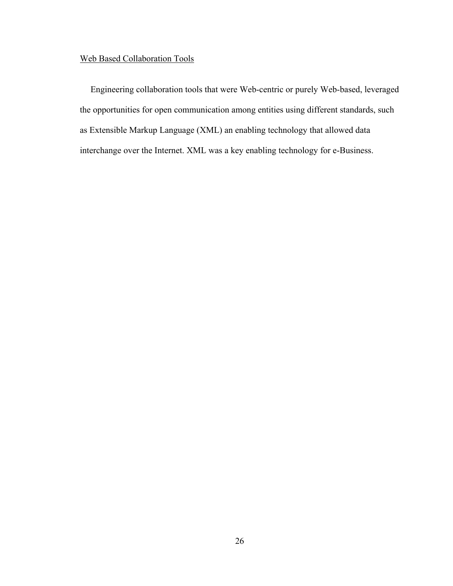## Web Based Collaboration Tools

Engineering collaboration tools that were Web-centric or purely Web-based, leveraged the opportunities for open communication among entities using different standards, such as Extensible Markup Language (XML) an enabling technology that allowed data interchange over the Internet. XML was a key enabling technology for e-Business.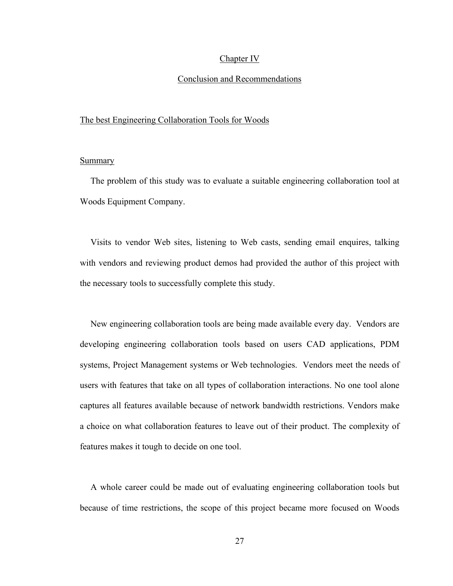#### Chapter IV

### Conclusion and Recommendations

#### The best Engineering Collaboration Tools for Woods

### **Summary**

The problem of this study was to evaluate a suitable engineering collaboration tool at Woods Equipment Company.

Visits to vendor Web sites, listening to Web casts, sending email enquires, talking with vendors and reviewing product demos had provided the author of this project with the necessary tools to successfully complete this study.

New engineering collaboration tools are being made available every day. Vendors are developing engineering collaboration tools based on users CAD applications, PDM systems, Project Management systems or Web technologies. Vendors meet the needs of users with features that take on all types of collaboration interactions. No one tool alone captures all features available because of network bandwidth restrictions. Vendors make a choice on what collaboration features to leave out of their product. The complexity of features makes it tough to decide on one tool.

A whole career could be made out of evaluating engineering collaboration tools but because of time restrictions, the scope of this project became more focused on Woods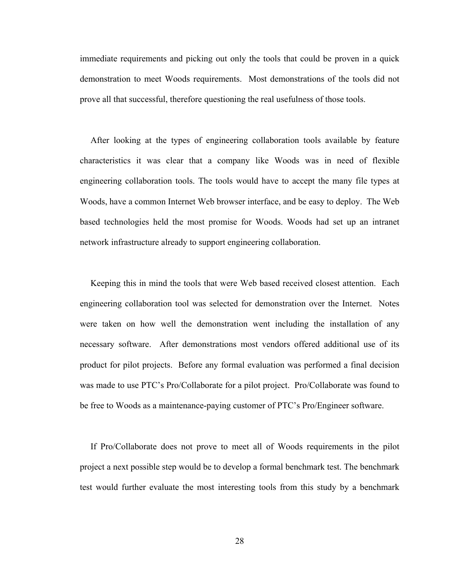immediate requirements and picking out only the tools that could be proven in a quick demonstration to meet Woods requirements. Most demonstrations of the tools did not prove all that successful, therefore questioning the real usefulness of those tools.

After looking at the types of engineering collaboration tools available by feature characteristics it was clear that a company like Woods was in need of flexible engineering collaboration tools. The tools would have to accept the many file types at Woods, have a common Internet Web browser interface, and be easy to deploy. The Web based technologies held the most promise for Woods. Woods had set up an intranet network infrastructure already to support engineering collaboration.

Keeping this in mind the tools that were Web based received closest attention. Each engineering collaboration tool was selected for demonstration over the Internet. Notes were taken on how well the demonstration went including the installation of any necessary software. After demonstrations most vendors offered additional use of its product for pilot projects. Before any formal evaluation was performed a final decision was made to use PTC's Pro/Collaborate for a pilot project. Pro/Collaborate was found to be free to Woods as a maintenance-paying customer of PTC's Pro/Engineer software.

If Pro/Collaborate does not prove to meet all of Woods requirements in the pilot project a next possible step would be to develop a formal benchmark test. The benchmark test would further evaluate the most interesting tools from this study by a benchmark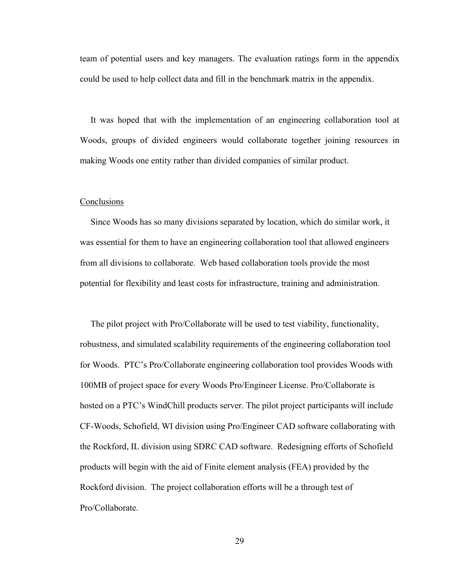team of potential users and key managers. The evaluation ratings form in the appendix could be used to help collect data and fill in the benchmark matrix in the appendix.

It was hoped that with the implementation of an engineering collaboration tool at Woods, groups of divided engineers would collaborate together joining resources in making Woods one entity rather than divided companies of similar product.

#### **Conclusions**

Since Woods has so many divisions separated by location, which do similar work, it was essential for them to have an engineering collaboration tool that allowed engineers from all divisions to collaborate. Web based collaboration tools provide the most potential for flexibility and least costs for infrastructure, training and administration.

The pilot project with Pro/Collaborate will be used to test viability, functionality, robustness, and simulated scalability requirements of the engineering collaboration tool for Woods. PTC's Pro/Collaborate engineering collaboration tool provides Woods with 100MB of project space for every Woods Pro/Engineer License. Pro/Collaborate is hosted on a PTC's WindChill products server. The pilot project participants will include CF-Woods, Schofield, WI division using Pro/Engineer CAD software collaborating with the Rockford, IL division using SDRC CAD software. Redesigning efforts of Schofield products will begin with the aid of Finite element analysis (FEA) provided by the Rockford division. The project collaboration efforts will be a through test of Pro/Collaborate.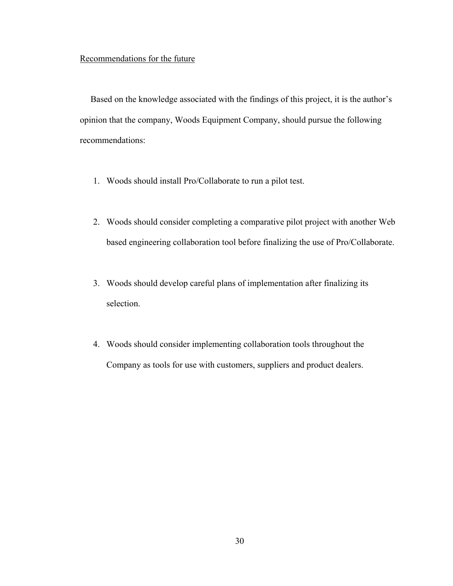## Recommendations for the future

Based on the knowledge associated with the findings of this project, it is the author's opinion that the company, Woods Equipment Company, should pursue the following recommendations:

- 1. Woods should install Pro/Collaborate to run a pilot test.
- 2. Woods should consider completing a comparative pilot project with another Web based engineering collaboration tool before finalizing the use of Pro/Collaborate.
- 3. Woods should develop careful plans of implementation after finalizing its selection.
- 4. Woods should consider implementing collaboration tools throughout the Company as tools for use with customers, suppliers and product dealers.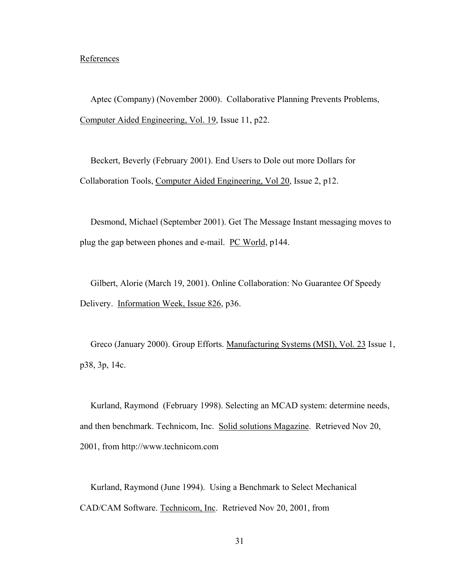### **References**

Aptec (Company) (November 2000). Collaborative Planning Prevents Problems, Computer Aided Engineering, Vol. 19, Issue 11, p22.

Beckert, Beverly (February 2001). End Users to Dole out more Dollars for Collaboration Tools, Computer Aided Engineering, Vol 20, Issue 2, p12.

Desmond, Michael (September 2001). Get The Message Instant messaging moves to plug the gap between phones and e-mail. PC World, p144.

Gilbert, Alorie (March 19, 2001). Online Collaboration: No Guarantee Of Speedy Delivery. Information Week, Issue 826, p36.

Greco (January 2000). Group Efforts. Manufacturing Systems (MSI), Vol. 23 Issue 1, p38, 3p, 14c.

Kurland, Raymond (February 1998). Selecting an MCAD system: determine needs, and then benchmark. Technicom, Inc. Solid solutions Magazine. Retrieved Nov 20, 2001, from http://www.technicom.com

Kurland, Raymond (June 1994). Using a Benchmark to Select Mechanical CAD/CAM Software. Technicom, Inc. Retrieved Nov 20, 2001, from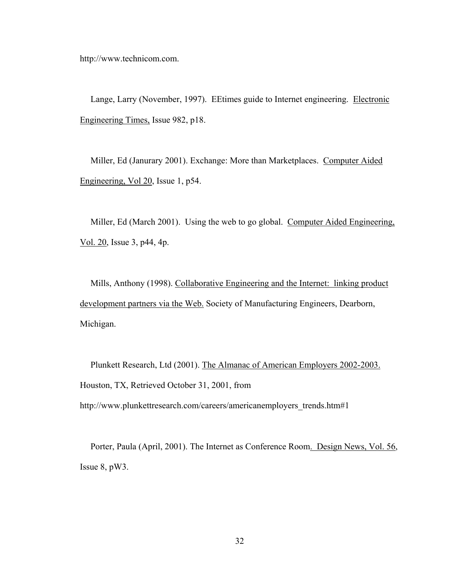http://www.technicom.com.

Lange, Larry (November, 1997). EEtimes guide to Internet engineering. Electronic Engineering Times, Issue 982, p18.

Miller, Ed (Janurary 2001). Exchange: More than Marketplaces. Computer Aided Engineering, Vol 20, Issue 1, p54.

Miller, Ed (March 2001). Using the web to go global. Computer Aided Engineering, Vol. 20, Issue 3, p44, 4p.

Mills, Anthony (1998). Collaborative Engineering and the Internet: linking product development partners via the Web. Society of Manufacturing Engineers, Dearborn, Michigan.

Plunkett Research, Ltd (2001). The Almanac of American Employers 2002-2003. Houston, TX, Retrieved October 31, 2001, from

http://www.plunkettresearch.com/careers/americanemployers\_trends.htm#1

Porter, Paula (April, 2001). The Internet as Conference Room. Design News, Vol. 56, Issue 8, pW3.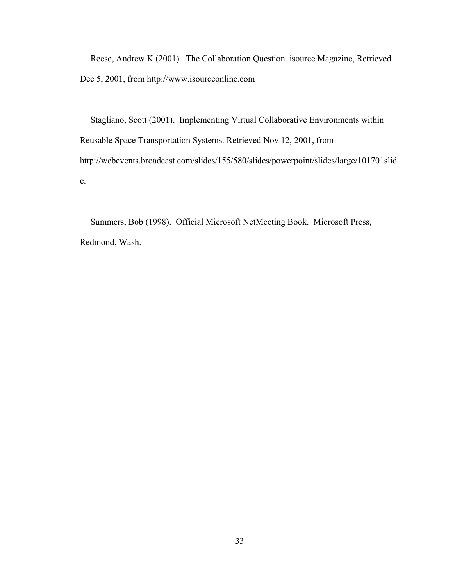Reese, Andrew K (2001). The Collaboration Question. isource Magazine, Retrieved Dec 5, 2001, from http://www.isourceonline.com

Stagliano, Scott (2001). Implementing Virtual Collaborative Environments within Reusable Space Transportation Systems. Retrieved Nov 12, 2001, from http://webevents.broadcast.com/slides/155/580/slides/powerpoint/slides/large/101701slid e.

Summers, Bob (1998). Official Microsoft NetMeeting Book. Microsoft Press, Redmond, Wash.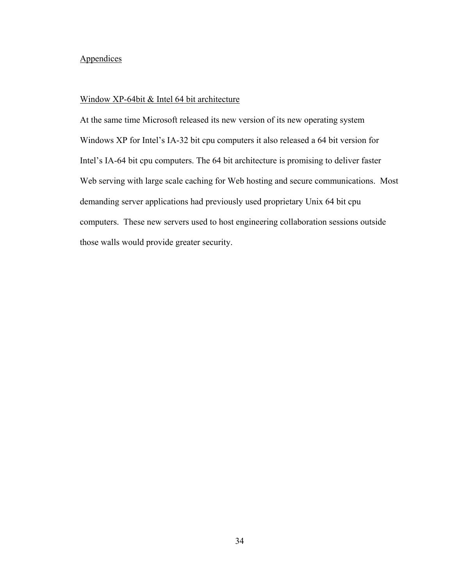## **Appendices**

## Window XP-64bit & Intel 64 bit architecture

At the same time Microsoft released its new version of its new operating system Windows XP for Intel's IA-32 bit cpu computers it also released a 64 bit version for Intel's IA-64 bit cpu computers. The 64 bit architecture is promising to deliver faster Web serving with large scale caching for Web hosting and secure communications. Most demanding server applications had previously used proprietary Unix 64 bit cpu computers. These new servers used to host engineering collaboration sessions outside those walls would provide greater security.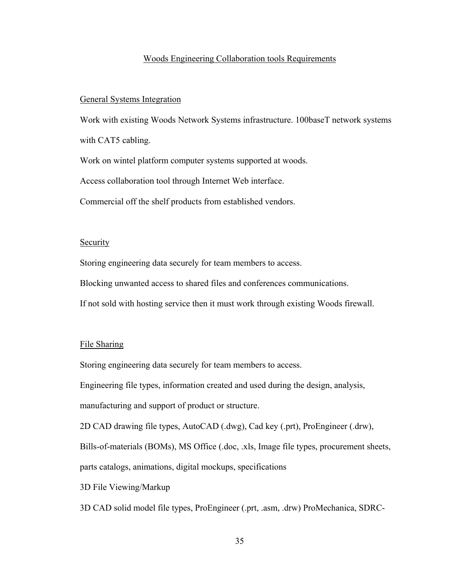#### Woods Engineering Collaboration tools Requirements

#### General Systems Integration

Work with existing Woods Network Systems infrastructure. 100baseT network systems with CAT5 cabling. Work on wintel platform computer systems supported at woods. Access collaboration tool through Internet Web interface. Commercial off the shelf products from established vendors.

## **Security**

Storing engineering data securely for team members to access.

Blocking unwanted access to shared files and conferences communications.

If not sold with hosting service then it must work through existing Woods firewall.

#### File Sharing

Storing engineering data securely for team members to access.

Engineering file types, information created and used during the design, analysis,

manufacturing and support of product or structure.

2D CAD drawing file types, AutoCAD (.dwg), Cad key (.prt), ProEngineer (.drw),

Bills-of-materials (BOMs), MS Office (.doc, .xls, Image file types, procurement sheets,

parts catalogs, animations, digital mockups, specifications

3D File Viewing/Markup

3D CAD solid model file types, ProEngineer (.prt, .asm, .drw) ProMechanica, SDRC-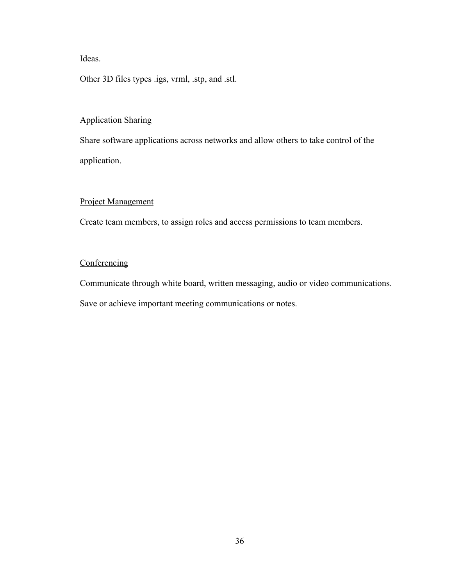Ideas.

Other 3D files types .igs, vrml, .stp, and .stl.

## Application Sharing

Share software applications across networks and allow others to take control of the application.

## Project Management

Create team members, to assign roles and access permissions to team members.

## **Conferencing**

Communicate through white board, written messaging, audio or video communications.

Save or achieve important meeting communications or notes.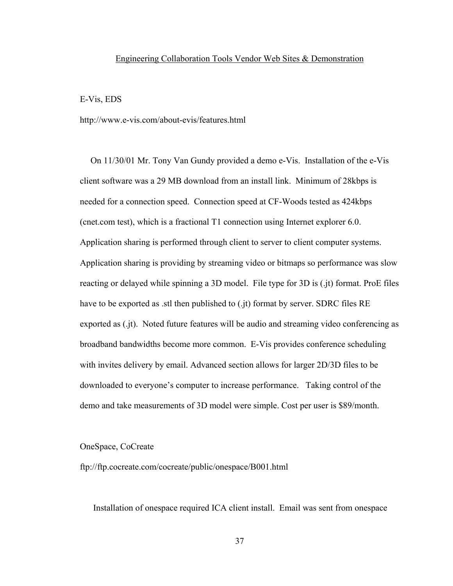#### Engineering Collaboration Tools Vendor Web Sites & Demonstration

#### E-Vis, EDS

http://www.e-vis.com/about-evis/features.html

On 11/30/01 Mr. Tony Van Gundy provided a demo e-Vis. Installation of the e-Vis client software was a 29 MB download from an install link. Minimum of 28kbps is needed for a connection speed. Connection speed at CF-Woods tested as 424kbps (cnet.com test), which is a fractional T1 connection using Internet explorer 6.0. Application sharing is performed through client to server to client computer systems. Application sharing is providing by streaming video or bitmaps so performance was slow reacting or delayed while spinning a 3D model. File type for 3D is (.jt) format. ProE files have to be exported as .stl then published to (.jt) format by server. SDRC files RE exported as (.jt). Noted future features will be audio and streaming video conferencing as broadband bandwidths become more common. E-Vis provides conference scheduling with invites delivery by email. Advanced section allows for larger 2D/3D files to be downloaded to everyone's computer to increase performance. Taking control of the demo and take measurements of 3D model were simple. Cost per user is \$89/month.

#### OneSpace, CoCreate

ftp://ftp.cocreate.com/cocreate/public/onespace/B001.html

Installation of onespace required ICA client install. Email was sent from onespace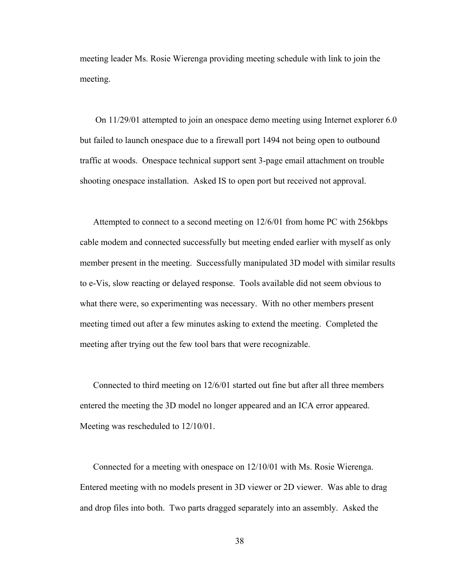meeting leader Ms. Rosie Wierenga providing meeting schedule with link to join the meeting.

 On 11/29/01 attempted to join an onespace demo meeting using Internet explorer 6.0 but failed to launch onespace due to a firewall port 1494 not being open to outbound traffic at woods. Onespace technical support sent 3-page email attachment on trouble shooting onespace installation. Asked IS to open port but received not approval.

Attempted to connect to a second meeting on 12/6/01 from home PC with 256kbps cable modem and connected successfully but meeting ended earlier with myself as only member present in the meeting. Successfully manipulated 3D model with similar results to e-Vis, slow reacting or delayed response. Tools available did not seem obvious to what there were, so experimenting was necessary. With no other members present meeting timed out after a few minutes asking to extend the meeting. Completed the meeting after trying out the few tool bars that were recognizable.

Connected to third meeting on 12/6/01 started out fine but after all three members entered the meeting the 3D model no longer appeared and an ICA error appeared. Meeting was rescheduled to 12/10/01.

Connected for a meeting with onespace on 12/10/01 with Ms. Rosie Wierenga. Entered meeting with no models present in 3D viewer or 2D viewer. Was able to drag and drop files into both. Two parts dragged separately into an assembly. Asked the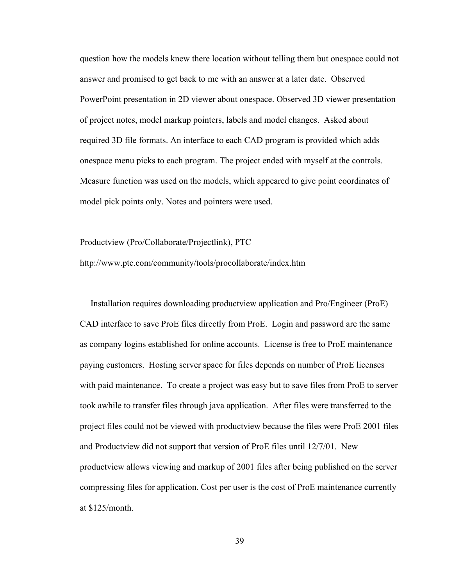question how the models knew there location without telling them but onespace could not answer and promised to get back to me with an answer at a later date. Observed PowerPoint presentation in 2D viewer about onespace. Observed 3D viewer presentation of project notes, model markup pointers, labels and model changes. Asked about required 3D file formats. An interface to each CAD program is provided which adds onespace menu picks to each program. The project ended with myself at the controls. Measure function was used on the models, which appeared to give point coordinates of model pick points only. Notes and pointers were used.

Productview (Pro/Collaborate/Projectlink), PTC http://www.ptc.com/community/tools/procollaborate/index.htm

Installation requires downloading productview application and Pro/Engineer (ProE) CAD interface to save ProE files directly from ProE. Login and password are the same as company logins established for online accounts. License is free to ProE maintenance paying customers. Hosting server space for files depends on number of ProE licenses with paid maintenance. To create a project was easy but to save files from ProE to server took awhile to transfer files through java application. After files were transferred to the project files could not be viewed with productview because the files were ProE 2001 files and Productview did not support that version of ProE files until 12/7/01. New productview allows viewing and markup of 2001 files after being published on the server compressing files for application. Cost per user is the cost of ProE maintenance currently at \$125/month.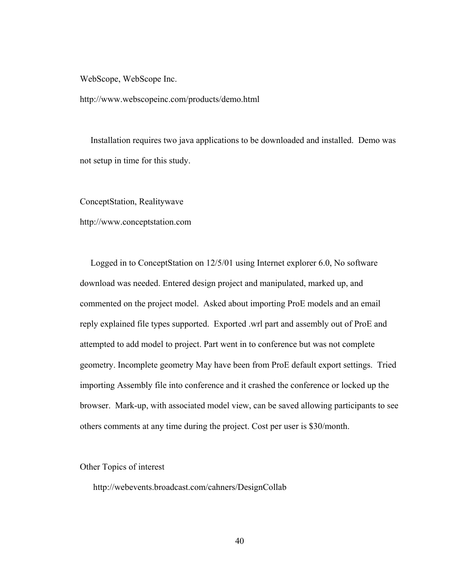WebScope, WebScope Inc.

http://www.webscopeinc.com/products/demo.html

Installation requires two java applications to be downloaded and installed. Demo was not setup in time for this study.

ConceptStation, Realitywave

http://www.conceptstation.com

Logged in to ConceptStation on 12/5/01 using Internet explorer 6.0, No software download was needed. Entered design project and manipulated, marked up, and commented on the project model. Asked about importing ProE models and an email reply explained file types supported. Exported .wrl part and assembly out of ProE and attempted to add model to project. Part went in to conference but was not complete geometry. Incomplete geometry May have been from ProE default export settings. Tried importing Assembly file into conference and it crashed the conference or locked up the browser. Mark-up, with associated model view, can be saved allowing participants to see others comments at any time during the project. Cost per user is \$30/month.

Other Topics of interest

http://webevents.broadcast.com/cahners/DesignCollab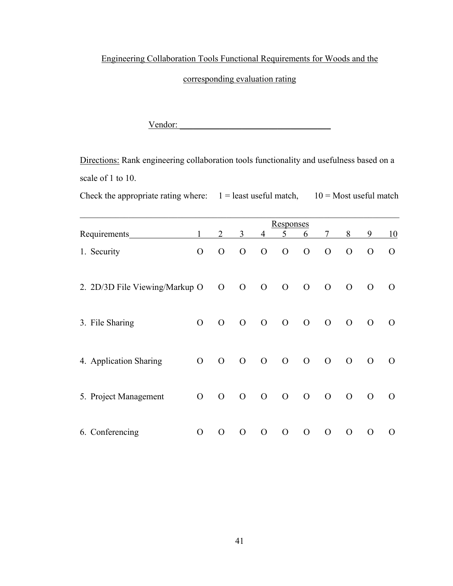Engineering Collaboration Tools Functional Requirements for Woods and the

corresponding evaluation rating

Vendor: \_\_\_\_\_\_\_\_\_\_\_\_\_\_\_\_\_\_\_\_\_\_\_\_\_\_\_\_\_\_\_\_\_\_

Directions: Rank engineering collaboration tools functionality and usefulness based on a scale of 1 to 10.

Check the appropriate rating where:  $1 =$  least useful match,  $10 =$  Most useful match

| Requirements                   |                | $\overline{2}$ | 3              | $\overline{4}$ | <b>Responses</b><br>5 | 6              | $\tau$         | 8              | 9              | 10             |
|--------------------------------|----------------|----------------|----------------|----------------|-----------------------|----------------|----------------|----------------|----------------|----------------|
| 1. Security                    | $\mathbf{O}$   | $\mathbf{O}$   | $\mathcal{O}$  | $\mathcal{O}$  | $\mathbf{O}$          | $\mathbf{O}$   | $\mathcal{O}$  | $\mathcal{O}$  | $\Omega$       | $\overline{O}$ |
| 2. 2D/3D File Viewing/Markup O |                | $\mathcal{O}$  | $\mathbf{O}$   | $\overline{O}$ | $\overline{O}$        | $\overline{O}$ | $\overline{O}$ | $\overline{O}$ | $\mathcal{O}$  | $\overline{O}$ |
| 3. File Sharing                | $\overline{O}$ | $\overline{O}$ | $\overline{O}$ | $\overline{O}$ | $\overline{O}$        | $\overline{O}$ | $\overline{O}$ | $\overline{O}$ | $\overline{O}$ | $\Omega$       |
| 4. Application Sharing         | $\mathbf{O}$   | $\overline{O}$ | $\mathbf{O}$   | $\overline{O}$ | $\overline{O}$        | $\overline{O}$ | $\overline{O}$ | $\mathcal{O}$  | $\mathcal{O}$  | $\Omega$       |
| 5. Project Management          | $\mathbf{O}$   | $\mathcal{O}$  | $\mathcal{O}$  | $\overline{O}$ | $\overline{O}$        | $\theta$       | $\overline{O}$ | $\mathcal{O}$  | $\mathbf{O}$   | $\Omega$       |
| 6. Conferencing                | $\mathcal{O}$  | $\mathbf{O}$   | $\Omega$       | $\overline{O}$ | $\overline{O}$        | $\overline{O}$ | $\Omega$       | $\Omega$       | $\Omega$       | $\Omega$       |